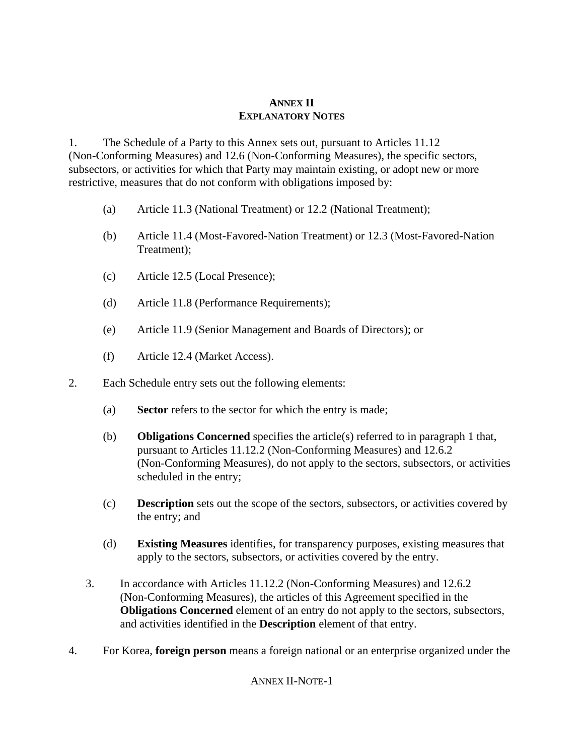## **ANNEX II EXPLANATORY NOTES**

1. The Schedule of a Party to this Annex sets out, pursuant to Articles 11.12 (Non-Conforming Measures) and 12.6 (Non-Conforming Measures), the specific sectors, subsectors, or activities for which that Party may maintain existing, or adopt new or more restrictive, measures that do not conform with obligations imposed by:

- (a) Article 11.3 (National Treatment) or 12.2 (National Treatment);
- (b) Article 11.4 (Most-Favored-Nation Treatment) or 12.3 (Most-Favored-Nation Treatment);
- (c) Article 12.5 (Local Presence);
- (d) Article 11.8 (Performance Requirements);
- (e) Article 11.9 (Senior Management and Boards of Directors); or
- (f) Article 12.4 (Market Access).
- 2. Each Schedule entry sets out the following elements:
	- (a) **Sector** refers to the sector for which the entry is made;
	- (b) **Obligations Concerned** specifies the article(s) referred to in paragraph 1 that, pursuant to Articles 11.12.2 (Non-Conforming Measures) and 12.6.2 (Non-Conforming Measures), do not apply to the sectors, subsectors, or activities scheduled in the entry;
	- (c) **Description** sets out the scope of the sectors, subsectors, or activities covered by the entry; and
	- (d) **Existing Measures** identifies, for transparency purposes, existing measures that apply to the sectors, subsectors, or activities covered by the entry.
	- 3. In accordance with Articles 11.12.2 (Non-Conforming Measures) and 12.6.2 (Non-Conforming Measures), the articles of this Agreement specified in the **Obligations Concerned** element of an entry do not apply to the sectors, subsectors, and activities identified in the **Description** element of that entry.
- 4. For Korea, **foreign person** means a foreign national or an enterprise organized under the